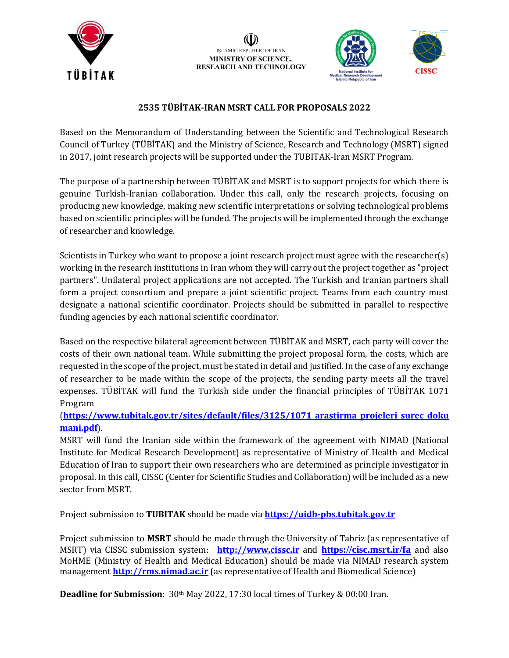



### **2535 TÜBİTAK-IRAN MSRT CALL FOR PROPOSALS 2022**

Based on the Memorandum of Understanding between the Scientific and Technological Research Council of Turkey (TÜBİTAK) and the Ministry of Science, Research and Technology (MSRT) signed in 2017, joint research projects will be supported under the TUBITAK-Iran MSRT Program.

The purpose of a partnership between TÜBİTAK and MSRT is to support projects for which there is genuine Turkish-Iranian collaboration. Under this call, only the research projects, focusing on producing new knowledge, making new scientific interpretations or solving technological problems based on scientific principles will be funded. The projects will be implemented through the exchange of researcher and knowledge.

Scientists in Turkey who want to propose a joint research project must agree with the researcher(s) working in the research institutions in Iran whom they will carry out the project together as "project partners". Unilateral project applications are not accepted. The Turkish and Iranian partners shall form a project consortium and prepare a joint scientific project. Teams from each country must designate a national scientific coordinator. Projects should be submitted in parallel to respective funding agencies by each national scientific coordinator.

Based on the respective bilateral agreement between TÜBİTAK and MSRT, each party will cover the costs of their own national team. While submitting the project proposal form, the costs, which are requested in the scope of the project, must be stated in detail and justified. In the case of any exchange of researcher to be made within the scope of the projects, the sending party meets all the travel expenses. TÜBİTAK will fund the Turkish side under the financial principles of TÜBİTAK 1071 Program

### (**[https://www.tubitak.gov.tr/sites/default/files/3125/1071\\_arastirma\\_projeleri\\_surec\\_doku](https://www.tubitak.gov.tr/sites/default/files/3125/1071_arastirma_projeleri_surec_dokumani.pdf) [mani.pdf](https://www.tubitak.gov.tr/sites/default/files/3125/1071_arastirma_projeleri_surec_dokumani.pdf)**).

MSRT will fund the Iranian side within the framework of the agreement with NIMAD (National Institute for Medical Research Development) as representative of Ministry of Health and Medical Education of Iran to support their own researchers who are determined as principle investigator in proposal. In this call, CISSC (Center for Scientific Studies and Collaboration) will be included as a new sector from MSRT.

Project submission to **TUBITAK** should be made via **[https://uidb-pbs.tubitak.gov.tr](https://uidb-pbs.tubitak.gov.tr/)**

Project submission to **MSRT** should be made through the University of Tabriz (as representative of MSRT) via CISSC submission system: **[http://www.cissc.ir](http://www.cissc.ir/)** and **<https://cisc.msrt.ir/fa>** and also MoHME (Ministry of Health and Medical Education) should be made via NIMAD research system management **[http://rms.nimad.ac.ir](http://rms.nimad.ac.ir/)** (as representative of Health and Biomedical Science)

**Deadline for Submission**: 30<sup>th</sup> May 2022, 17:30 local times of Turkey & 00:00 Iran.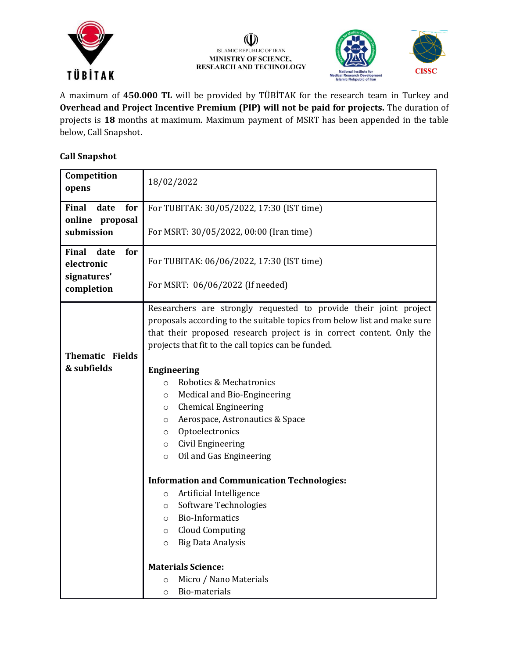

#### (I) ISLAMIC REPUBLIC OF IRAN MINISTRY OF SCIENCE, **RESEARCH AND TECHNOLOGY**



A maximum of **450.000 TL** will be provided by TÜBİTAK for the research team in Turkey and **Overhead and Project Incentive Premium (PIP) will not be paid for projects.** The duration of projects is **18** months at maximum. Maximum payment of MSRT has been appended in the table below, Call Snapshot.

### **Call Snapshot**

| Competition<br>opens                      | 18/02/2022                                                                                                                                                                                                                                                                                                                                           |  |  |  |
|-------------------------------------------|------------------------------------------------------------------------------------------------------------------------------------------------------------------------------------------------------------------------------------------------------------------------------------------------------------------------------------------------------|--|--|--|
| <b>Final</b><br>for<br>date               | For TUBITAK: 30/05/2022, 17:30 (IST time)                                                                                                                                                                                                                                                                                                            |  |  |  |
| online proposal<br>submission             | For MSRT: 30/05/2022, 00:00 (Iran time)                                                                                                                                                                                                                                                                                                              |  |  |  |
| <b>Final</b><br>date<br>for<br>electronic | For TUBITAK: 06/06/2022, 17:30 (IST time)                                                                                                                                                                                                                                                                                                            |  |  |  |
| signatures'<br>completion                 | For MSRT: 06/06/2022 (If needed)                                                                                                                                                                                                                                                                                                                     |  |  |  |
|                                           | Researchers are strongly requested to provide their joint project<br>proposals according to the suitable topics from below list and make sure<br>that their proposed research project is in correct content. Only the<br>projects that fit to the call topics can be funded.                                                                         |  |  |  |
| <b>Thematic Fields</b>                    |                                                                                                                                                                                                                                                                                                                                                      |  |  |  |
| & subfields                               | <b>Engineering</b><br>Robotics & Mechatronics<br>$\circ$<br>Medical and Bio-Engineering<br>$\circ$<br><b>Chemical Engineering</b><br>$\circ$<br>Aerospace, Astronautics & Space<br>$\circ$<br>Optoelectronics<br>$\circ$<br>Civil Engineering<br>$\circ$<br>Oil and Gas Engineering<br>$\circ$<br><b>Information and Communication Technologies:</b> |  |  |  |
|                                           | Artificial Intelligence<br>$\circ$<br>Software Technologies<br>$\circ$<br><b>Bio-Informatics</b><br>$\circ$<br><b>Cloud Computing</b><br>$\circ$<br><b>Big Data Analysis</b><br>$\circ$                                                                                                                                                              |  |  |  |
|                                           | <b>Materials Science:</b><br>Micro / Nano Materials<br>$\circ$<br>Bio-materials<br>$\circ$                                                                                                                                                                                                                                                           |  |  |  |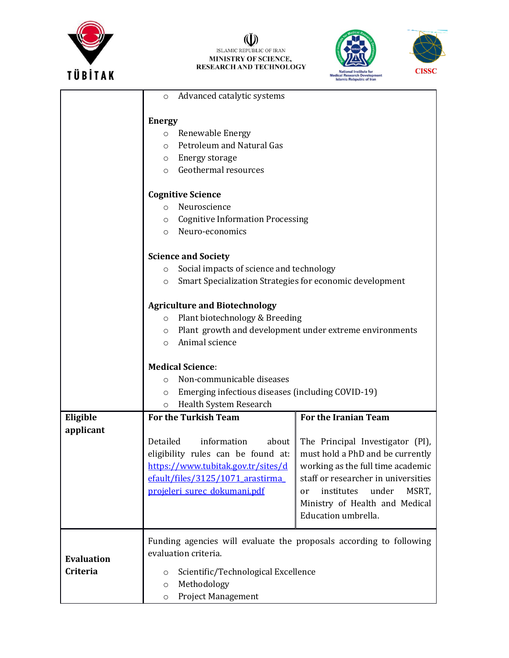

## (U)<br>ISLAMIC REPUBLIC OF IRAN<br>MINISTRY OF SCIENCE,<br>RESEARCH AND TECHNOLOGY





|                   | Advanced catalytic systems<br>$\circ$                                                                                                             |                                                                                           |                                                                     |  |  |  |
|-------------------|---------------------------------------------------------------------------------------------------------------------------------------------------|-------------------------------------------------------------------------------------------|---------------------------------------------------------------------|--|--|--|
|                   |                                                                                                                                                   |                                                                                           |                                                                     |  |  |  |
|                   | <b>Energy</b><br>Renewable Energy<br>$\circ$                                                                                                      |                                                                                           |                                                                     |  |  |  |
|                   | $\Omega$                                                                                                                                          | Petroleum and Natural Gas                                                                 |                                                                     |  |  |  |
|                   | $\circ$                                                                                                                                           | Energy storage                                                                            |                                                                     |  |  |  |
|                   | $\circ$                                                                                                                                           | Geothermal resources                                                                      |                                                                     |  |  |  |
|                   | <b>Cognitive Science</b>                                                                                                                          |                                                                                           |                                                                     |  |  |  |
|                   | Neuroscience<br>$\Omega$                                                                                                                          |                                                                                           |                                                                     |  |  |  |
|                   | <b>Cognitive Information Processing</b><br>$\circ$                                                                                                |                                                                                           |                                                                     |  |  |  |
|                   | Neuro-economics<br>$\circ$                                                                                                                        |                                                                                           |                                                                     |  |  |  |
|                   | <b>Science and Society</b>                                                                                                                        |                                                                                           |                                                                     |  |  |  |
|                   | Social impacts of science and technology<br>$\circ$                                                                                               |                                                                                           |                                                                     |  |  |  |
|                   | $\circ$                                                                                                                                           | Smart Specialization Strategies for economic development                                  |                                                                     |  |  |  |
|                   | <b>Agriculture and Biotechnology</b>                                                                                                              |                                                                                           |                                                                     |  |  |  |
|                   | Plant biotechnology & Breeding<br>$\circ$                                                                                                         |                                                                                           |                                                                     |  |  |  |
|                   | $\circ$                                                                                                                                           | Plant growth and development under extreme environments                                   |                                                                     |  |  |  |
|                   | $\circ$                                                                                                                                           | Animal science                                                                            |                                                                     |  |  |  |
|                   | <b>Medical Science:</b>                                                                                                                           |                                                                                           |                                                                     |  |  |  |
|                   | $\Omega$                                                                                                                                          | Non-communicable diseases<br>Emerging infectious diseases (including COVID-19)<br>$\circ$ |                                                                     |  |  |  |
|                   |                                                                                                                                                   |                                                                                           |                                                                     |  |  |  |
|                   | $\circ$                                                                                                                                           | Health System Research                                                                    |                                                                     |  |  |  |
| Eligible          |                                                                                                                                                   | <b>For the Turkish Team</b>                                                               | For the Iranian Team                                                |  |  |  |
| applicant         |                                                                                                                                                   |                                                                                           |                                                                     |  |  |  |
|                   | Detailed                                                                                                                                          | information<br>about                                                                      | The Principal Investigator (PI),                                    |  |  |  |
|                   | eligibility rules can be found at:<br>must hold a PhD and be currently<br>https://www.tubitak.gov.tr/sites/d<br>working as the full time academic |                                                                                           |                                                                     |  |  |  |
|                   |                                                                                                                                                   |                                                                                           |                                                                     |  |  |  |
|                   |                                                                                                                                                   | efault/files/3125/1071 arastirma                                                          | staff or researcher in universities                                 |  |  |  |
|                   |                                                                                                                                                   | projeleri surec dokumani.pdf                                                              | MSRT,<br>institutes<br>under<br>or                                  |  |  |  |
|                   |                                                                                                                                                   |                                                                                           | Ministry of Health and Medical<br>Education umbrella.               |  |  |  |
|                   |                                                                                                                                                   |                                                                                           |                                                                     |  |  |  |
|                   |                                                                                                                                                   |                                                                                           | Funding agencies will evaluate the proposals according to following |  |  |  |
|                   | evaluation criteria.                                                                                                                              |                                                                                           |                                                                     |  |  |  |
| <b>Evaluation</b> | <b>Criteria</b><br>Scientific/Technological Excellence<br>$\circ$<br>Methodology                                                                  |                                                                                           |                                                                     |  |  |  |
|                   |                                                                                                                                                   |                                                                                           |                                                                     |  |  |  |
|                   | $\circ$                                                                                                                                           | <b>Project Management</b>                                                                 |                                                                     |  |  |  |
|                   | $\circ$                                                                                                                                           |                                                                                           |                                                                     |  |  |  |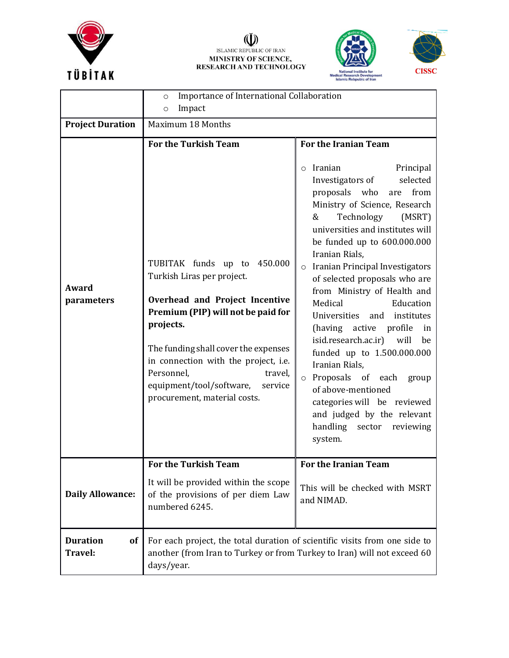

## (U)<br>ISLAMIC REPUBLIC OF IRAN<br>MINISTRY OF SCIENCE,<br>RESEARCH AND TECHNOLOGY





|                                         | Importance of International Collaboration<br>$\circ$<br>Impact<br>$\circ$                                                                                                                                                                                                                                                                                     |                                                                                                                                                                                                                                                                                                                                                                                                                                                                                                                                                                                                                                                                                                                                  |  |  |
|-----------------------------------------|---------------------------------------------------------------------------------------------------------------------------------------------------------------------------------------------------------------------------------------------------------------------------------------------------------------------------------------------------------------|----------------------------------------------------------------------------------------------------------------------------------------------------------------------------------------------------------------------------------------------------------------------------------------------------------------------------------------------------------------------------------------------------------------------------------------------------------------------------------------------------------------------------------------------------------------------------------------------------------------------------------------------------------------------------------------------------------------------------------|--|--|
| <b>Project Duration</b>                 | Maximum 18 Months                                                                                                                                                                                                                                                                                                                                             |                                                                                                                                                                                                                                                                                                                                                                                                                                                                                                                                                                                                                                                                                                                                  |  |  |
| Award<br>parameters                     | <b>For the Turkish Team</b><br>TUBITAK funds up to 450.000<br>Turkish Liras per project.<br>Overhead and Project Incentive<br>Premium (PIP) will not be paid for<br>projects.<br>The funding shall cover the expenses<br>in connection with the project, i.e.<br>Personnel,<br>travel,<br>equipment/tool/software,<br>service<br>procurement, material costs. | For the Iranian Team<br>Iranian<br>Principal<br>$\circ$<br>selected<br>Investigators of<br>proposals who<br>from<br>are<br>Ministry of Science, Research<br>Technology<br>&<br>(MSRT)<br>universities and institutes will<br>be funded up to 600.000.000<br>Iranian Rials,<br>Iranian Principal Investigators<br>$\circ$<br>of selected proposals who are<br>from Ministry of Health and<br>Medical<br>Education<br>Universities and institutes<br>(having active profile<br>in<br>isid.research.ac.ir) will<br>be<br>funded up to 1.500.000.000<br>Iranian Rials,<br>o Proposals of each<br>group<br>of above-mentioned<br>categories will be reviewed<br>and judged by the relevant<br>handling sector<br>reviewing<br>system. |  |  |
|                                         | <b>For the Turkish Team</b>                                                                                                                                                                                                                                                                                                                                   | For the Iranian Team                                                                                                                                                                                                                                                                                                                                                                                                                                                                                                                                                                                                                                                                                                             |  |  |
| <b>Daily Allowance:</b>                 | It will be provided within the scope<br>of the provisions of per diem Law<br>numbered 6245.                                                                                                                                                                                                                                                                   | This will be checked with MSRT<br>and NIMAD.                                                                                                                                                                                                                                                                                                                                                                                                                                                                                                                                                                                                                                                                                     |  |  |
| <b>Duration</b><br><b>of</b><br>Travel: | For each project, the total duration of scientific visits from one side to<br>another (from Iran to Turkey or from Turkey to Iran) will not exceed 60<br>days/year.                                                                                                                                                                                           |                                                                                                                                                                                                                                                                                                                                                                                                                                                                                                                                                                                                                                                                                                                                  |  |  |